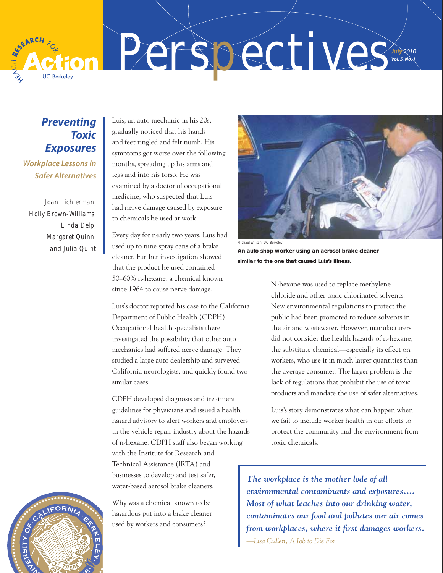

*Perspectives July* 2010 *Vol.* 5, No.  $\sqrt{ }$ 

# *Preventing Toxic Exposures*

*Workplace Lessons In Safer Alternatives*

*Joan Lichterman, Holly Brown-Williams, Linda Delp, Margaret Quinn, and Julia Quint*

Luis, an auto mechanic in his 20s, gradually noticed that his hands and feet tingled and felt numb. His symptoms got worse over the following months, spreading up his arms and legs and into his torso. He was examined by a doctor of occupational medicine, who suspected that Luis had nerve damage caused by exposure to chemicals he used at work.

Every day for nearly two years, Luis had used up to nine spray cans of a brake cleaner. Further investigation showed that the product he used contained 50–60% n-hexane, a chemical known since 1964 to cause nerve damage.

Luis's doctor reported his case to the California Department of Public Health (CDPH). Occupational health specialists there investigated the possibility that other auto mechanics had suffered nerve damage. They studied a large auto dealership and surveyed California neurologists, and quickly found two similar cases.

CDPH developed diagnosis and treatment guidelines for physicians and issued a health hazard advisory to alert workers and employers in the vehicle repair industry about the hazards of n-hexane. CDPH staff also began working with the Institute for Research and Technical Assistance (IRTA) and businesses to develop and test safer, water-based aerosol brake cleaners.

Why was a chemical known to be hazardous put into a brake cleaner used by workers and consumers?



Michael Wilson, UC Berkeley

**An auto shop worker using an aerosol brake cleaner similar to the one that caused Luis's illness.** 

> N-hexane was used to replace methylene chloride and other toxic chlorinated solvents. New environmental regulations to protect the public had been promoted to reduce solvents in the air and wastewater. However, manufacturers did not consider the health hazards of n-hexane, the substitute chemical—especially its effect on workers, who use it in much larger quantities than the average consumer. The larger problem is the lack of regulations that prohibit the use of toxic products and mandate the use of safer alternatives.

> Luis's story demonstrates what can happen when we fail to include worker health in our efforts to protect the community and the environment from toxic chemicals.

*The workplace is the mother lode of all environmental contaminants and exposures…. Most of what leaches into our drinking water, contaminates our food and pollutes our air comes*  from workplaces, where it first damages workers. *—Lisa Cullen, A Job to Die For*

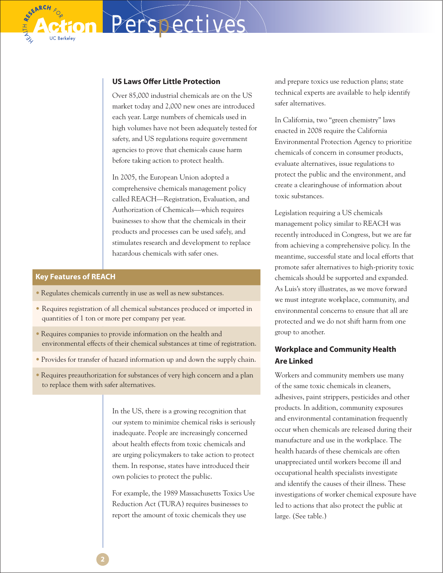Over 85,000 industrial chemicals are on the US market today and 2,000 new ones are introduced each year. Large numbers of chemicals used in high volumes have not been adequately tested for safety, and US regulations require government agencies to prove that chemicals cause harm before taking action to protect health.

*Perspectives*

In 2005, the European Union adopted a comprehensive chemicals management policy called REACH—Registration, Evaluation, and Authorization of Chemicals—which requires businesses to show that the chemicals in their products and processes can be used safely, and stimulates research and development to replace hazardous chemicals with safer ones.

## **Key Features of REACH**

SEARCH

- Regulates chemicals currently in use as well as new substances.
- Requires registration of all chemical substances produced or imported in quantities of 1 ton or more per company per year.
- Requires companies to provide information on the health and environmental effects of their chemical substances at time of registration.
- Provides for transfer of hazard information up and down the supply chain.
- Requires preauthorization for substances of very high concern and a plan to replace them with safer alternatives.

In the US, there is a growing recognition that our system to minimize chemical risks is seriously inadequate. People are increasingly concerned about health effects from toxic chemicals and are urging policymakers to take action to protect them. In response, states have introduced their own policies to protect the public.

For example, the 1989 Massachusetts Toxics Use Reduction Act (TURA) requires businesses to report the amount of toxic chemicals they use

and prepare toxics use reduction plans; state technical experts are available to help identify safer alternatives.

In California, two "green chemistry" laws enacted in 2008 require the California Environmental Protection Agency to prioritize chemicals of concern in consumer products, evaluate alternatives, issue regulations to protect the public and the environment, and create a clearinghouse of information about toxic substances.

Legislation requiring a US chemicals management policy similar to REACH was recently introduced in Congress, but we are far from achieving a comprehensive policy. In the meantime, successful state and local efforts that promote safer alternatives to high-priority toxic chemicals should be supported and expanded. As Luis's story illustrates, as we move forward we must integrate workplace, community, and environmental concerns to ensure that all are protected and we do not shift harm from one group to another.

# **Workplace and Community Health Are Linked**

Workers and community members use many of the same toxic chemicals in cleaners, adhesives, paint strippers, pesticides and other products. In addition, community exposures and environmental contamination frequently occur when chemicals are released during their manufacture and use in the workplace. The health hazards of these chemicals are often unappreciated until workers become ill and occupational health specialists investigate and identify the causes of their illness. These investigations of worker chemical exposure have led to actions that also protect the public at large. (See table.)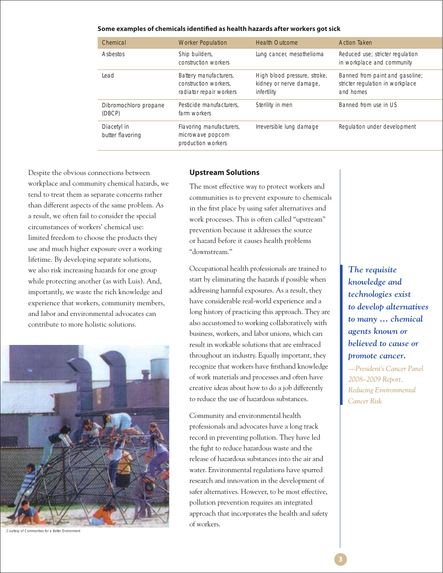#### **Some examples of chemicals identified as health hazards after workers got sick**

| Chemical                        | <b>Worker Population</b>                                                   | <b>Health Outcome</b>                                                  | <b>Action Taken</b>                                                              |
|---------------------------------|----------------------------------------------------------------------------|------------------------------------------------------------------------|----------------------------------------------------------------------------------|
| Asbestos                        | Ship builders,<br>construction workers                                     | Lung cancer, mesothelioma                                              | Reduced use; stricter regulation<br>in workplace and community                   |
| Lead                            | Battery manufacturers,<br>construction workers.<br>radiator repair workers | High blood pressure, stroke,<br>kidney or nerve damage,<br>infertility | Banned from paint and gasoline;<br>stricter regulation in workplace<br>and homes |
| Dibromochloro propane<br>(DBCP) | Pesticide manufacturers.<br>farm workers                                   | Sterility in men                                                       | Banned from use in US                                                            |
| Diacetyl in<br>butter flavoring | Flavoring manufacturers,<br>microwave popcorn<br>production workers        | Irreversible lung damage                                               | Regulation under development                                                     |

Despite the obvious connections between workplace and community chemical hazards, we tend to treat them as separate concerns rather than different aspects of the same problem. As a result, we often fail to consider the special circumstances of workers' chemical use: limited freedom to choose the products they use and much higher exposure over a working lifetime. By developing separate solutions, we also risk increasing hazards for one group while protecting another (as with Luis). And, importantly, we waste the rich knowledge and experience that workers, community members, and labor and environmental advocates can contribute to more holistic solutions.



Courtesy of Communities for a Better Environment

### **Upstream Solutions**

The most effective way to protect workers and communities is to prevent exposure to chemicals in the first place by using safer alternatives and work processes. This is often called "upstream" prevention because it addresses the source or hazard before it causes health problems "downstream."

Occupational health professionals are trained to start by eliminating the hazards if possible when addressing harmful exposures. As a result, they have considerable real-world experience and a long history of practicing this approach. They are also accustomed to working collaboratively with business, workers, and labor unions, which can result in workable solutions that are embraced throughout an industry. Equally important, they recognize that workers have firsthand knowledge of work materials and processes and often have creative ideas about how to do a job differently to reduce the use of hazardous substances.

Community and environmental health professionals and advocates have a long track record in preventing pollution. They have led the fight to reduce hazardous waste and the release of hazardous substances into the air and water. Environmental regulations have spurred research and innovation in the development of safer alternatives. However, to be most effective, pollution prevention requires an integrated approach that incorporates the health and safety of workers.

*The requisite knowledge and technologies exist to develop alternatives to many ... chemical agents known or believed to cause or*  bromote cancer.

*—President's Cancer Panel 2008–2009 Report, Reducing Environmental Cancer Risk*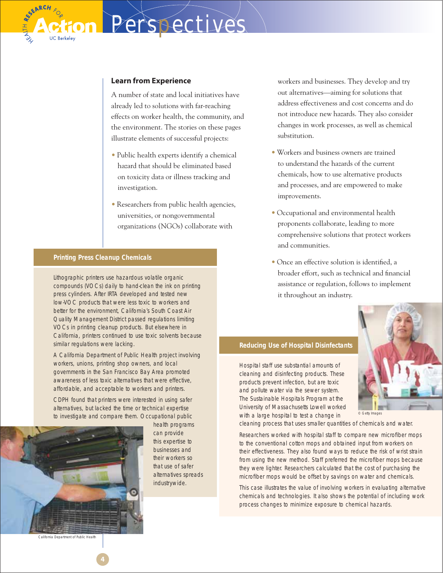A number of state and local initiatives have already led to solutions with far-reaching effects on worker health, the community, and the environment. The stories on these pages illustrate elements of successful projects:

*Perspectives*

- Public health experts identify a chemical hazard that should be eliminated based on toxicity data or illness tracking and investigation.
- Researchers from public health agencies, universities, or nongovernmental organizations (NGOs) collaborate with

### **Printing Press Cleanup Chemicals**

Lithographic printers use hazardous volatile organic compounds (VOCs) daily to hand-clean the ink on printing press cylinders. After IRTA developed and tested new low-VOC products that were less toxic to workers and better for the environment, California's South Coast Air Quality Management District passed regulations limiting VOCs in printing cleanup products. But elsewhere in California, printers continued to use toxic solvents because similar regulations were lacking.

A California Department of Public Health project involving workers, unions, printing shop owners, and local governments in the San Francisco Bay Area promoted awareness of less toxic alternatives that were effective, affordable, and acceptable to workers and printers.

CDPH found that printers were interested in using safer alternatives, but lacked the time or technical expertise to investigate and compare them. Occupational public



**4**

health programs can provide this expertise to businesses and their workers so that use of safer alternatives spreads industrywide.

workers and businesses. They develop and try out alternatives—aiming for solutions that address effectiveness and cost concerns and do not introduce new hazards. They also consider changes in work processes, as well as chemical substitution.

- Workers and business owners are trained to understand the hazards of the current chemicals, how to use alternative products and processes, and are empowered to make improvements.
- Occupational and environmental health proponents collaborate, leading to more comprehensive solutions that protect workers and communities.
- Once an effective solution is identified, a broader effort, such as technical and financial assistance or regulation, follows to implement it throughout an industry.



**Reducing Use of Hospital Disinfectants** 

Hospital staff use substantial amounts of cleaning and disinfecting products. These products prevent infection, but are toxic and pollute water via the sewer system. The Sustainable Hospitals Program at the University of Massachusetts Lowell worked with a large hospital to test a change in

cleaning process that uses smaller quantities of chemicals and water.

Researchers worked with hospital staff to compare new microfiber mops to the conventional cotton mops and obtained input from workers on their effectiveness. They also found ways to reduce the risk of wrist strain from using the new method. Staff preferred the microfiber mops because they were lighter. Researchers calculated that the cost of purchasing the microfiber mops would be offset by savings on water and chemicals.

This case illustrates the value of involving workers in evaluating alternative chemicals and technologies. It also shows the potential of including work process changes to minimize exposure to chemical hazards.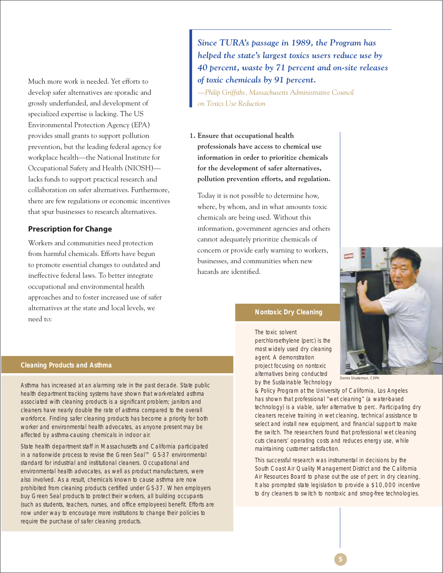Much more work is needed. Yet efforts to develop safer alternatives are sporadic and grossly underfunded, and development of specialized expertise is lacking. The US Environmental Protection Agency (EPA) provides small grants to support pollution prevention, but the leading federal agency for workplace health—the National Institute for Occupational Safety and Health (NIOSH) lacks funds to support practical research and collaboration on safer alternatives. Furthermore, there are few regulations or economic incentives that spur businesses to research alternatives.

### **Prescription for Change**

Workers and communities need protection from harmful chemicals. Efforts have begun to promote essential changes to outdated and ineffective federal laws. To better integrate occupational and environmental health approaches and to foster increased use of safer alternatives at the state and local levels, we need to:

*Since TURA's passage in 1989, the Program has helped the state's largest toxics users reduce use by 40 percent, waste by 71 percent and on-site releases of toxic chemicals by 91 percent.*

*—Philip Griffi ths, Massachusetts Administrative Council on Toxics Use Reduction*

**1. Ensure that occupational health professionals have access to chemical use information in order to prioritize chemicals for the development of safer alternatives, pollution prevention efforts, and regulation.**

 Today it is not possible to determine how, where, by whom, and in what amounts toxic chemicals are being used. Without this information, government agencies and others cannot adequately prioritize chemicals of concern or provide early warning to workers, businesses, and communities when new hazards are identified.

### **Nontoxic Dry Cleaning**

The toxic solvent perchloroethylene (perc) is the most widely used dry cleaning agent. A demonstration project focusing on nontoxic alternatives being conducted by the Sustainable Technology man, CDPH

& Policy Program at the University of California, Los Angeles has shown that professional "wet cleaning" (a water-based technology) is a viable, safer alternative to perc. Participating dry cleaners receive training in wet cleaning, technical assistance to select and install new equipment, and financial support to make the switch. The researchers found that professional wet cleaning cuts cleaners' operating costs and reduces energy use, while maintaining customer satisfaction.

This successful research was instrumental in decisions by the South Coast Air Quality Management District and the California Air Resources Board to phase out the use of perc in dry cleaning. It also prompted state legislation to provide a \$10,000 incentive to dry cleaners to switch to nontoxic and smog-free technologies.

#### **Cleaning Products and Asthma**

Asthma has increased at an alarming rate in the past decade. State public health department tracking systems have shown that work-related asthma associated with cleaning products is a significant problem; janitors and cleaners have nearly double the rate of asthma compared to the overall workforce. Finding safer cleaning products has become a priority for both worker and environmental health advocates, as anyone present may be affected by asthma-causing chemicals in indoor air.

State health department staff in Massachusetts and California participated in a nationwide process to revise the Green Seal™ GS-37 environmental standard for industrial and institutional cleaners. Occupational and environmental health advocates, as well as product manufacturers, were also involved. As a result, chemicals known to cause asthma are now prohibited from cleaning products certified under GS-37. When employers buy Green Seal products to protect their workers, all building occupants (such as students, teachers, nurses, and office employees) benefit. Efforts are now under way to encourage more institutions to change their policies to require the purchase of safer cleaning products.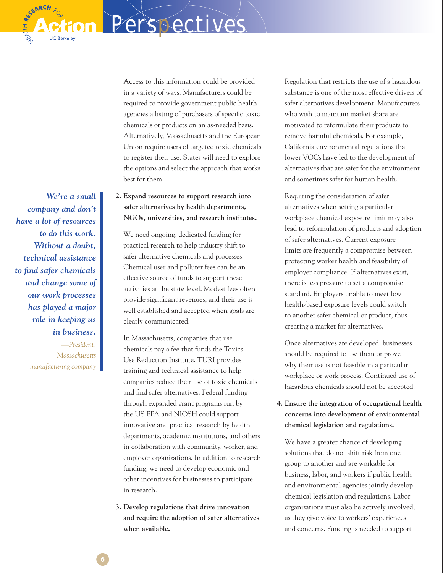*We're a small company and don't have a lot of resources to do this work. Without a doubt, technical assistance to fi nd safer chemicals and change some of our work processes has played a major role in keeping us in business. —President, Massachusetts manufacturing company*

**SEARCH** 

 Access to this information could be provided in a variety of ways. Manufacturers could be required to provide government public health agencies a listing of purchasers of specific toxic chemicals or products on an as-needed basis. Alternatively, Massachusetts and the European Union require users of targeted toxic chemicals to register their use. States will need to explore the options and select the approach that works best for them.

*Perspectives*

# **2. Expand resources to support research into safer alternatives by health departments, NGOs, universities, and research institutes.**

 We need ongoing, dedicated funding for practical research to help industry shift to safer alternative chemicals and processes. Chemical user and polluter fees can be an effective source of funds to support these activities at the state level. Modest fees often provide significant revenues, and their use is well established and accepted when goals are clearly communicated.

 In Massachusetts, companies that use chemicals pay a fee that funds the Toxics Use Reduction Institute. TURI provides training and technical assistance to help companies reduce their use of toxic chemicals and find safer alternatives. Federal funding through expanded grant programs run by the US EPA and NIOSH could support innovative and practical research by health departments, academic institutions, and others in collaboration with community, worker, and employer organizations. In addition to research funding, we need to develop economic and other incentives for businesses to participate in research.

**3. Develop regulations that drive innovation and require the adoption of safer alternatives when available.**

 Regulation that restricts the use of a hazardous substance is one of the most effective drivers of safer alternatives development. Manufacturers who wish to maintain market share are motivated to reformulate their products to remove harmful chemicals. For example, California environmental regulations that lower VOCs have led to the development of alternatives that are safer for the environment and sometimes safer for human health.

 Requiring the consideration of safer alternatives when setting a particular workplace chemical exposure limit may also lead to reformulation of products and adoption of safer alternatives. Current exposure limits are frequently a compromise between protecting worker health and feasibility of employer compliance. If alternatives exist, there is less pressure to set a compromise standard. Employers unable to meet low health-based exposure levels could switch to another safer chemical or product, thus creating a market for alternatives.

 Once alternatives are developed, businesses should be required to use them or prove why their use is not feasible in a particular workplace or work process. Continued use of hazardous chemicals should not be accepted.

# **4. Ensure the integration of occupational health concerns into development of environmental chemical legislation and regulations.**

 We have a greater chance of developing solutions that do not shift risk from one group to another and are workable for business, labor, and workers if public health and environmental agencies jointly develop chemical legislation and regulations. Labor organizations must also be actively involved, as they give voice to workers' experiences and concerns. Funding is needed to support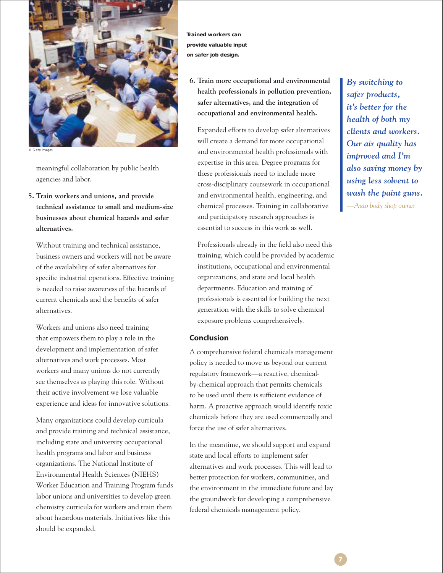

© Getty Images

meaningful collaboration by public health agencies and labor.

**5. Train workers and unions, and provide technical assistance to small and medium-size businesses about chemical hazards and safer alternatives.**

 Without training and technical assistance, business owners and workers will not be aware of the availability of safer alternatives for specific industrial operations. Effective training is needed to raise awareness of the hazards of current chemicals and the benefits of safer alternatives.

 Workers and unions also need training that empowers them to play a role in the development and implementation of safer alternatives and work processes. Most workers and many unions do not currently see themselves as playing this role. Without their active involvement we lose valuable experience and ideas for innovative solutions.

 Many organizations could develop curricula and provide training and technical assistance, including state and university occupational health programs and labor and business organizations. The National Institute of Environmental Health Sciences (NIEHS) Worker Education and Training Program funds labor unions and universities to develop green chemistry curricula for workers and train them about hazardous materials. Initiatives like this should be expanded.

**Trained workers can provide valuable input on safer job design.**

**6. Train more occupational and environmental health professionals in pollution prevention, safer alternatives, and the integration of occupational and environmental health.** 

 Expanded efforts to develop safer alternatives will create a demand for more occupational and environmental health professionals with expertise in this area. Degree programs for these professionals need to include more cross-disciplinary coursework in occupational and environmental health, engineering, and chemical processes. Training in collaborative and participatory research approaches is essential to success in this work as well.

Professionals already in the field also need this training, which could be provided by academic institutions, occupational and environmental organizations, and state and local health departments. Education and training of professionals is essential for building the next generation with the skills to solve chemical exposure problems comprehensively.

### **Conclusion**

A comprehensive federal chemicals management policy is needed to move us beyond our current regulatory framework—a reactive, chemicalby-chemical approach that permits chemicals to be used until there is sufficient evidence of harm. A proactive approach would identify toxic chemicals before they are used commercially and force the use of safer alternatives.

In the meantime, we should support and expand state and local efforts to implement safer alternatives and work processes. This will lead to better protection for workers, communities, and the environment in the immediate future and lay the groundwork for developing a comprehensive federal chemicals management policy.

*By switching to safer products, it's better for the health of both my clients and workers. Our air quality has improved and I'm also saving money by using less solvent to wash the paint guns. —Auto body shop owner*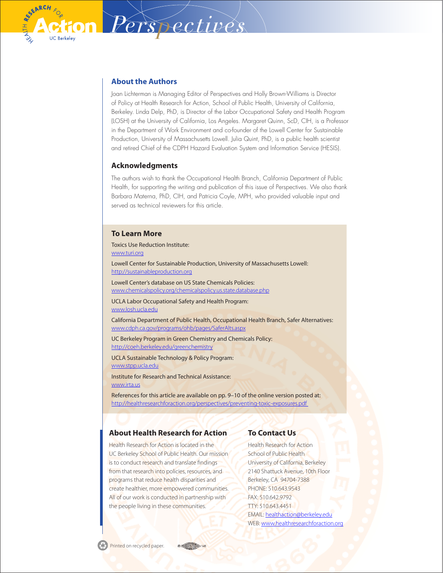

### **About the Authors**

*Perspectives*

Joan Lichterman is Managing Editor of Perspectives and Holly Brown-Williams is Director of Policy at Health Research for Action, School of Public Health, University of California, Berkeley. Linda Delp, PhD, is Director of the Labor Occupational Safety and Health Program (LOSH) at the University of California, Los Angeles. Margaret Quinn, ScD, CIH, is a Professor in the Department of Work Environment and co-founder of the Lowell Center for Sustainable Production, University of Massachusetts Lowell. Julia Quint, PhD, is a public health scientist and retired Chief of the CDPH Hazard Evaluation System and Information Service (HESIS).

### **Acknowledgments**

The authors wish to thank the Occupational Health Branch, California Department of Public Health, for supporting the writing and publication of this issue of Perspectives. We also thank Barbara Materna, PhD, CIH, and Patricia Coyle, MPH, who provided valuable input and served as technical reviewers for this article.

### **To Learn More**

Toxics Use Reduction Institute: [www.turi.org](http://www.turi.org)

Lowell Center for Sustainable Production, University of Massachusetts Lowell: <http://sustainableproduction.org>

Lowell Center's database on US State Chemicals Policies: [www.chemicalspolicy.org/chemicalspolicy.us.state.database.php](http://www.chemicalspolicy.org/chemicalspolicy.us.state.database.php)

UCLA Labor Occupational Safety and Health Program: [www.losh.ucla.edu](http://www.losh.ucla.edu)

California Department of Public Health, Occupational Health Branch, Safer Alternatives: [www.cdph.ca.gov/programs/ohb/pages/SaferAlts.aspx](http://www.cdph.ca.gov/programs/ohb/pages/SaferAlts.aspx)

UC Berkeley Program in Green Chemistry and Chemicals Policy: <http://coeh.berkeley.edu/greenchemistry>

UCLA Sustainable Technology & Policy Program: [www.stpp.ucla.edu](http://www.stpp.ucla.edu)

Institute for Research and Technical Assistance: [www.irta.us](http://www.irta.us)

References for this article are available on pp. 9–10 of the online version posted at: [http://healthresearchforaction.org/perspectives/](http://healthresearchforaction.org/perspectives/preventing-toxic-exposures.pdf)preventing-toxic-exposures.pdf

### **About Health Research for Action**

Health Research for Action is located in the UC Berkeley School of Public Health. Our mission is to conduct research and translate findings from that research into policies, resources, and programs that reduce health disparities and create healthier, more empowered communities. All of our work is conducted in partnership with the people living in these communities.

### **To Contact Us**

Health Research for Action School of Public Health University of California, Berkeley 2140 Shattuck Avenue, 10th Floor Berkeley, CA 94704-7388 PHONE: 510.643.9543 FAX: 510.642.9792 TTY: 510.643.4451 EMAIL: [healthaction@berkeley.edu](mailto:healthaction@berkeley.edu) WEB: [www.healthresearchforaction.org](http://www.healthresearchforaction.org)

Printed on recycled paper.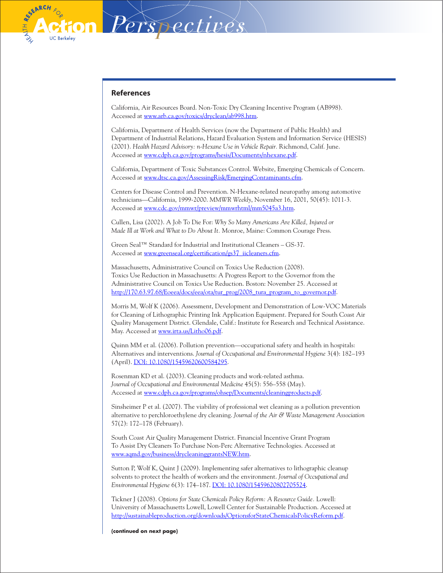

#### **References**

California, Air Resources Board. Non-Toxic Dry Cleaning Incentive Program (AB998). Accessed at [www.arb.ca.gov/toxics/dryclean/ab998.htm.](http://www.arb.ca.gov/toxics/dryclean/ab998.htm)

*Perspectives*

California, Department of Health Services (now the Department of Public Health) and Department of Industrial Relations, Hazard Evaluation System and Information Service (HESIS) (2001). *Health Hazard Advisory: n-Hexane Use in Vehicle Repair.* Richmond, Calif. June. Accessed at [www.cdph.ca.gov/programs/hesis/Documents/nhexane.pdf](http://www.cdph.ca.gov/programs/hesis/Documents/nhexane.pdf).

California, Department of Toxic Substances Control. Website, Emerging Chemicals of Concern. Accessed at [www.dtsc.ca.gov/AssessingRisk/EmergingContaminants.cfm.](http://www.dtsc.ca.gov/AssessingRisk/EmergingContaminants.cfm)

Centers for Disease Control and Prevention. N-Hexane-related neuropathy among automotive technicians—California, 1999-2000. *MMWR Weekly*, November 16, 2001, 50(45): 1011-3. Accessed at [www.cdc.gov/mmwr/preview/mmwrhtml/mm5045a3.htm](http://www.cdc.gov/mmwr/preview/mmwrhtml/mm5045a3.htm).

Cullen, Lisa (2002). A Job To Die For: *Why So Many Americans Are Killed, Injured or Made Ill at Work and What to Do About It.* Monroe, Maine: Common Courage Press.

Green Seal™ Standard for Industrial and Institutional Cleaners – GS-37. Accessed at [www.greenseal.org/certification/gs37\\_iicleaners.cfm.](http://www.greenseal.org/certification/gs37_iicleaners.cfm)

Massachusetts, Administrative Council on Toxics Use Reduction (2008). Toxics Use Reduction in Massachusetts: A Progress Report to the Governor from the Administrative Council on Toxics Use Reduction. Boston: November 25. Accessed at [http://170.63.97.68/Eoeea/docs/eea/ota/tur\\_prog/2008\\_tura\\_program\\_to\\_governor.pdf.](http://170.63.97.68/Eoeea/docs/eea/ota/tur_prog/2008_tura_program_to_governor.pdf)

Morris M, Wolf K (2006). Assessment, Development and Demonstration of Low-VOC Materials for Cleaning of Lithographic Printing Ink Application Equipment. Prepared for South Coast Air Quality Management District. Glendale, Calif.: Institute for Research and Technical Assistance. May. Accessed at [www.irta.us/Litho06.pdf.](http://www.irta.us/Litho06.pdf)

Quinn MM et al. (2006). Pollution prevention—occupational safety and health in hospitals: Alternatives and interventions. *Journal of Occupational and Environmental Hygiene* 3(4): 182–193 (April). [DOI: 10.1080/15459620600584295](http://dx.doi.org/10.1080/15459620600584295).

Rosenman KD et al. (2003). Cleaning products and work-related asthma. *Journal of Occupational and Environmental Medicine* 45(5): 556–558 (May). Accessed at [www.cdph.ca.gov/programs/ohsep/Documents/cleaningproducts.pdf](http://www.cdph.ca.gov/programs/ohsep/Documents/cleaningproducts.pdf).

Sinsheimer P et al. (2007). The viability of professional wet cleaning as a pollution prevention alternative to perchloroethylene dry cleaning. *Journal of the Air & Waste Management Association* 57(2): 172–178 (February).

South Coast Air Quality Management District. Financial Incentive Grant Program To Assist Dry Cleaners To Purchase Non-Perc Alternative Technologies. Accessed at [www.aqmd.gov/business/drycleaninggrantsNEW.htm.](http://www.aqmd.gov/business/drycleaninggrantsNEW.htm)

Sutton P, Wolf K, Quint J (2009). Implementing safer alternatives to lithographic cleanup solvents to protect the health of workers and the environment. *Journal of Occupational and Environmental Hygiene* 6(3): 174–187. [DOI: 10.1080/15459620802705524.](http://dx.doi.org/10.1080/15459620802705524)

Tickner J (2008). *Options for State Chemicals Policy Reform: A Resource Guide.* Lowell: University of Massachusetts Lowell, Lowell Center for Sustainable Production. Accessed at <http://sustainableproduction.org/downloads/OptionsforStateChemicalsPolicyReform.pdf>.

**(continued on next page)**